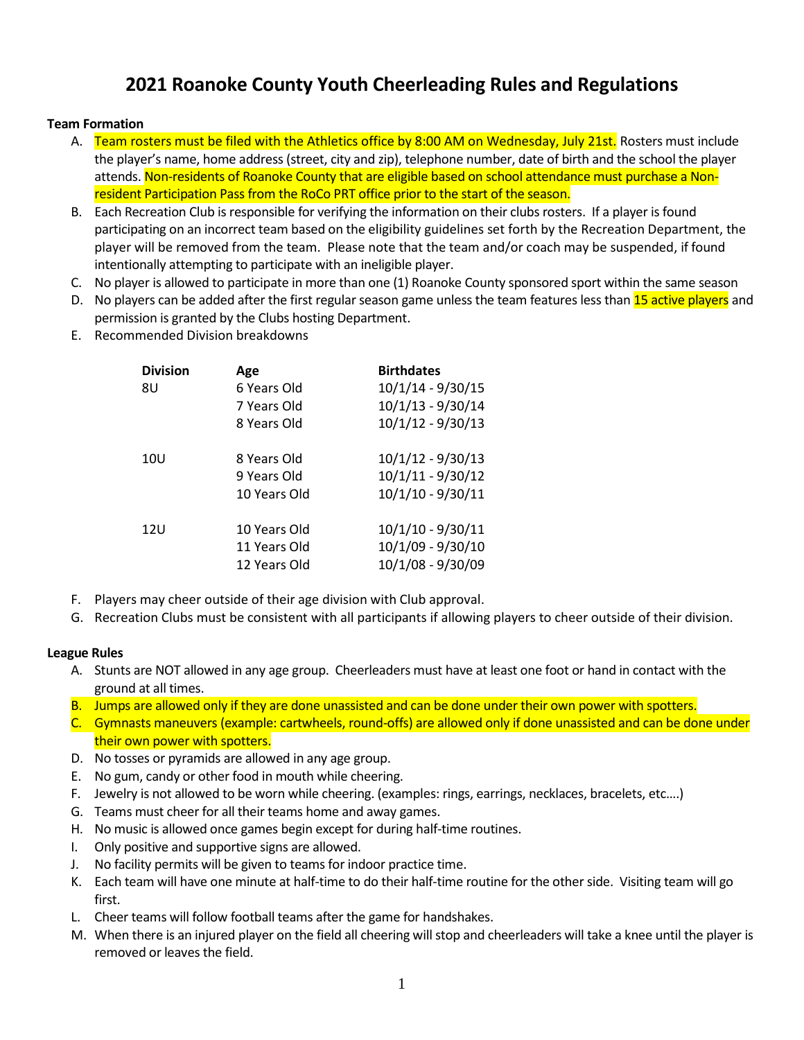# **2021 Roanoke County Youth Cheerleading Rules and Regulations**

## **Team Formation**

- A. Team rosters must be filed with the Athletics office by 8:00 AM on Wednesday, July 21st. Rosters must include the player's name, home address (street, city and zip), telephone number, date of birth and the school the player attends. Non-residents of Roanoke County that are eligible based on school attendance must purchase a Nonresident Participation Pass from the RoCo PRT office prior to the start of the season.
- B. Each Recreation Club is responsible for verifying the information on their clubs rosters. If a player is found participating on an incorrect team based on the eligibility guidelines set forth by the Recreation Department, the player will be removed from the team. Please note that the team and/or coach may be suspended, if found intentionally attempting to participate with an ineligible player.
- C. No player is allowed to participate in more than one (1) Roanoke County sponsored sport within the same season
- D. No players can be added after the first regular season game unless the team features less than 15 active players and permission is granted by the Clubs hosting Department.
- E. Recommended Division breakdowns

| <b>Division</b> | Age          | <b>Birthdates</b>   |
|-----------------|--------------|---------------------|
| 8U              | 6 Years Old  | 10/1/14 - 9/30/15   |
|                 | 7 Years Old  | $10/1/13 - 9/30/14$ |
|                 | 8 Years Old  | 10/1/12 - 9/30/13   |
|                 |              |                     |
| 10U             | 8 Years Old  | $10/1/12 - 9/30/13$ |
|                 | 9 Years Old  | 10/1/11 - 9/30/12   |
|                 | 10 Years Old | 10/1/10 - 9/30/11   |
| 12U             | 10 Years Old | 10/1/10 - 9/30/11   |
|                 | 11 Years Old | 10/1/09 - 9/30/10   |
|                 | 12 Years Old | 10/1/08 - 9/30/09   |
|                 |              |                     |

- F. Players may cheer outside of their age division with Club approval.
- G. Recreation Clubs must be consistent with all participants if allowing players to cheer outside of their division.

#### **League Rules**

- A. Stunts are NOT allowed in any age group. Cheerleaders must have at least one foot or hand in contact with the ground at all times.
- B. Jumps are allowed only if they are done unassisted and can be done under their own power with spotters.
- C. Gymnasts maneuvers (example: cartwheels, round-offs) are allowed only if done unassisted and can be done under their own power with spotters.
- D. No tosses or pyramids are allowed in any age group.
- E. No gum, candy or other food in mouth while cheering.
- F. Jewelry is not allowed to be worn while cheering. (examples: rings, earrings, necklaces, bracelets, etc….)
- G. Teams must cheer for all their teams home and away games.
- H. No music is allowed once games begin except for during half-time routines.
- I. Only positive and supportive signs are allowed.
- J. No facility permits will be given to teams for indoor practice time.
- K. Each team will have one minute at half-time to do their half-time routine for the other side. Visiting team will go first.
- L. Cheer teams will follow football teams after the game for handshakes.
- M. When there is an injured player on the field all cheering will stop and cheerleaders will take a knee until the player is removed or leaves the field.